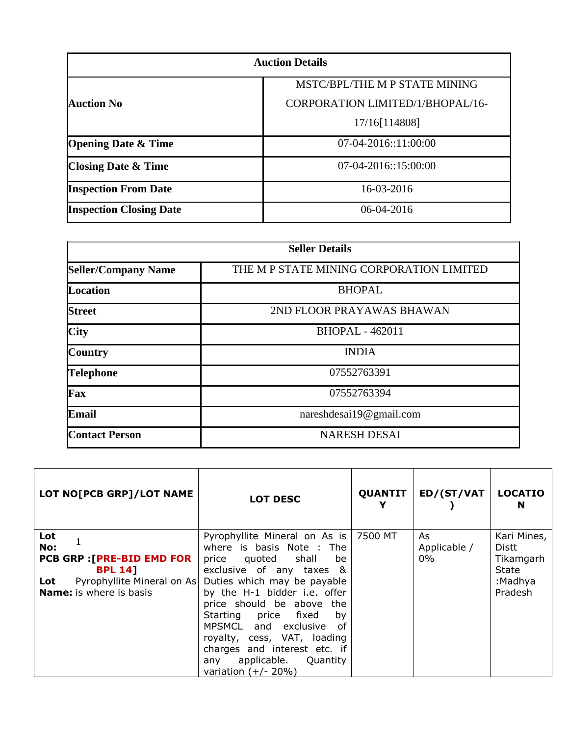| <b>Auction Details</b>         |                                  |  |
|--------------------------------|----------------------------------|--|
|                                | MSTC/BPL/THE M P STATE MINING    |  |
| Auction No                     | CORPORATION LIMITED/1/BHOPAL/16- |  |
|                                | 17/16[114808]                    |  |
| <b>Opening Date &amp; Time</b> | $07-04-2016::11:00:00$           |  |
| <b>Closing Date &amp; Time</b> | $07-04-2016::15:00:00$           |  |
| <b>Inspection From Date</b>    | 16-03-2016                       |  |
| <b>Inspection Closing Date</b> | 06-04-2016                       |  |

| <b>Seller Details</b>      |                                          |  |
|----------------------------|------------------------------------------|--|
| <b>Seller/Company Name</b> | THE M P STATE MINING CORPORATION LIMITED |  |
| <b>Location</b>            | <b>BHOPAL</b>                            |  |
| <b>Street</b>              | 2ND FLOOR PRAYAWAS BHAWAN                |  |
| <b>City</b>                | <b>BHOPAL - 462011</b>                   |  |
| <b>Country</b>             | <b>INDIA</b>                             |  |
| <b>Telephone</b>           | 07552763391                              |  |
| Fax                        | 07552763394                              |  |
| <b>Email</b>               | nareshdesai19@gmail.com                  |  |
| <b>Contact Person</b>      | <b>NARESH DESAI</b>                      |  |

| LOT NO[PCB GRP]/LOT NAME                                                                                                                 | <b>LOT DESC</b>                                                                                                                                                                                                                                                                                                                                                                             | <b>QUANTIT</b> | <b>ED/(ST/VAT</b>            | <b>LOCATIO</b><br>N                                              |
|------------------------------------------------------------------------------------------------------------------------------------------|---------------------------------------------------------------------------------------------------------------------------------------------------------------------------------------------------------------------------------------------------------------------------------------------------------------------------------------------------------------------------------------------|----------------|------------------------------|------------------------------------------------------------------|
| Lot<br>No:<br><b>PCB GRP : [PRE-BID EMD FOR</b><br><b>BPL 14]</b><br>Pyrophyllite Mineral on As<br>Lot<br><b>Name:</b> is where is basis | Pyrophyllite Mineral on As is<br>where is basis Note : The<br>price quoted shall<br>be<br>exclusive of any taxes &<br>Duties which may be payable<br>by the H-1 bidder i.e. offer<br>price should be above the<br>Starting price fixed<br>by<br>MPSMCL and exclusive of<br>royalty, cess, VAT, loading<br>charges and interest etc. if<br>any applicable. Quantity<br>variation $(+/- 20%)$ | 7500 MT        | As.<br>Applicable /<br>$0\%$ | Kari Mines,<br>Distt<br>Tikamgarh<br>State<br>:Madhya<br>Pradesh |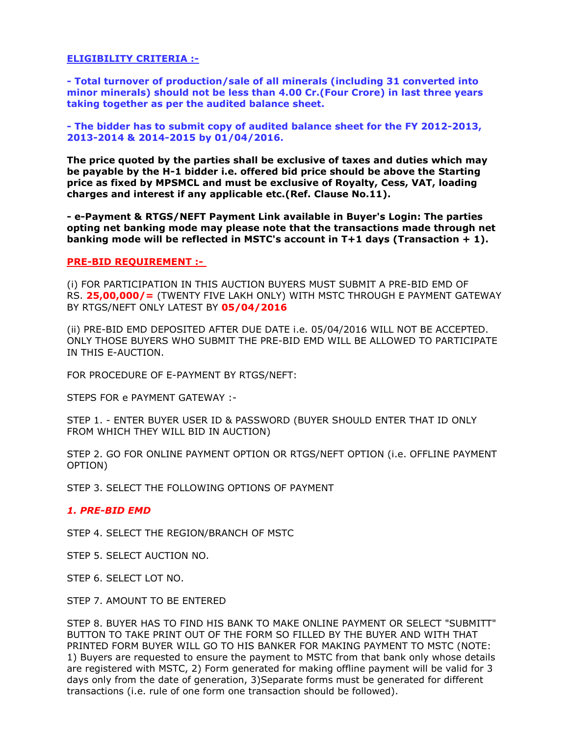# **ELIGIBILITY CRITERIA :-**

**- Total turnover of production/sale of all minerals (including 31 converted into minor minerals) should not be less than 4.00 Cr.(Four Crore) in last three years taking together as per the audited balance sheet.**

**- The bidder has to submit copy of audited balance sheet for the FY 2012-2013, 2013-2014 & 2014-2015 by 01/04/2016.**

**The price quoted by the parties shall be exclusive of taxes and duties which may be payable by the H-1 bidder i.e. offered bid price should be above the Starting price as fixed by MPSMCL and must be exclusive of Royalty, Cess, VAT, loading charges and interest if any applicable etc.(Ref. Clause No.11).**

**- e-Payment & RTGS/NEFT Payment Link available in Buyer's Login: The parties opting net banking mode may please note that the transactions made through net banking mode will be reflected in MSTC's account in T+1 days (Transaction + 1).**

# **PRE-BID REQUIREMENT :-**

(i) FOR PARTICIPATION IN THIS AUCTION BUYERS MUST SUBMIT A PRE-BID EMD OF RS. **25,00,000/=** (TWENTY FIVE LAKH ONLY) WITH MSTC THROUGH E PAYMENT GATEWAY BY RTGS/NEFT ONLY LATEST BY **05/04/2016**

(ii) PRE-BID EMD DEPOSITED AFTER DUE DATE i.e. 05/04/2016 WILL NOT BE ACCEPTED. ONLY THOSE BUYERS WHO SUBMIT THE PRE-BID EMD WILL BE ALLOWED TO PARTICIPATE IN THIS E-AUCTION.

FOR PROCEDURE OF E-PAYMENT BY RTGS/NEFT:

STEPS FOR e PAYMENT GATEWAY :-

STEP 1. - ENTER BUYER USER ID & PASSWORD (BUYER SHOULD ENTER THAT ID ONLY FROM WHICH THEY WILL BID IN AUCTION)

STEP 2. GO FOR ONLINE PAYMENT OPTION OR RTGS/NEFT OPTION (i.e. OFFLINE PAYMENT OPTION)

STEP 3. SELECT THE FOLLOWING OPTIONS OF PAYMENT

# *1. PRE-BID EMD*

STEP 4. SELECT THE REGION/BRANCH OF MSTC

STEP 5. SELECT AUCTION NO.

STEP 6. SELECT LOT NO.

STEP 7. AMOUNT TO BE ENTERED

STEP 8. BUYER HAS TO FIND HIS BANK TO MAKE ONLINE PAYMENT OR SELECT "SUBMITT" BUTTON TO TAKE PRINT OUT OF THE FORM SO FILLED BY THE BUYER AND WITH THAT PRINTED FORM BUYER WILL GO TO HIS BANKER FOR MAKING PAYMENT TO MSTC (NOTE: 1) Buyers are requested to ensure the payment to MSTC from that bank only whose details are registered with MSTC, 2) Form generated for making offline payment will be valid for 3 days only from the date of generation, 3)Separate forms must be generated for different transactions (i.e. rule of one form one transaction should be followed).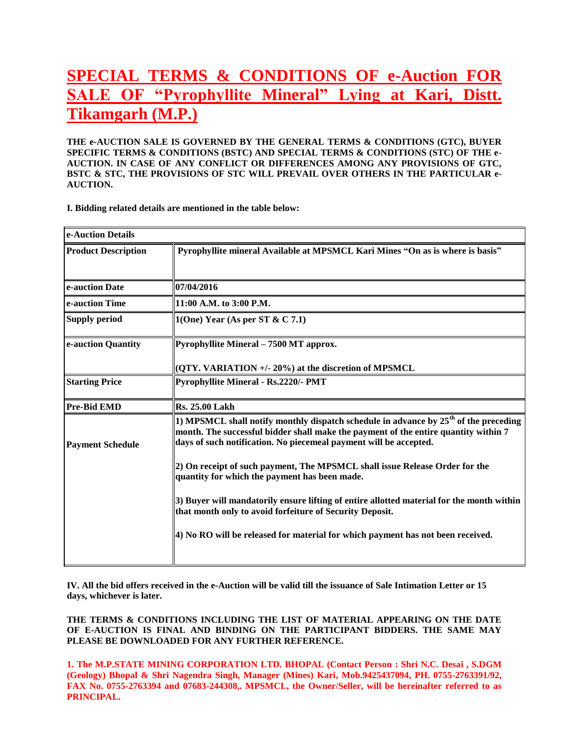# **SPECIAL TERMS & CONDITIONS OF e-Auction [FOR](http://mstcindia.co.in/AttachLotPhoto/Lot_Photo/Photo_15-16_1195_1471752.htm)  [SALE OF "Pyrophyllite](http://mstcindia.co.in/AttachLotPhoto/Lot_Photo/Photo_15-16_1195_1471752.htm) Mineral" Lying at Kari, Distt. Tikamgarh (M.P.)**

**THE e-AUCTION SALE IS GOVERNED BY THE GENERAL TERMS & CONDITIONS (GTC), BUYER SPECIFIC TERMS & CONDITIONS (BSTC) AND SPECIAL TERMS & CONDITIONS (STC) OF THE e-AUCTION. IN CASE OF ANY CONFLICT OR DIFFERENCES AMONG ANY PROVISIONS OF GTC, BSTC & STC, THE PROVISIONS OF STC WILL PREVAIL OVER OTHERS IN THE PARTICULAR e-AUCTION.**

**I. Bidding related details are mentioned in the table below:**

| e-Auction Details          |                                                                                                                                                                                                                                                    |  |
|----------------------------|----------------------------------------------------------------------------------------------------------------------------------------------------------------------------------------------------------------------------------------------------|--|
| <b>Product Description</b> | Pyrophyllite mineral Available at MPSMCL Kari Mines "On as is where is basis"                                                                                                                                                                      |  |
| e-auction Date             | 07/04/2016                                                                                                                                                                                                                                         |  |
| e-auction Time             | 11:00 A.M. to 3:00 P.M.                                                                                                                                                                                                                            |  |
| <b>Supply period</b>       | 1(One) Year (As per ST & C 7.1)                                                                                                                                                                                                                    |  |
| e-auction Quantity         | <b>Pyrophyllite Mineral - 7500 MT approx.</b>                                                                                                                                                                                                      |  |
|                            | (QTY. VARIATION +/- 20%) at the discretion of MPSMCL                                                                                                                                                                                               |  |
| <b>Starting Price</b>      | Pyrophyllite Mineral - Rs.2220/- PMT                                                                                                                                                                                                               |  |
| <b>Pre-Bid EMD</b>         | <b>Rs. 25.00 Lakh</b>                                                                                                                                                                                                                              |  |
| <b>Payment Schedule</b>    | 1) MPSMCL shall notify monthly dispatch schedule in advance by $25th$ of the preceding<br>month. The successful bidder shall make the payment of the entire quantity within 7<br>days of such notification. No piecemeal payment will be accepted. |  |
|                            | 2) On receipt of such payment, The MPSMCL shall issue Release Order for the<br>quantity for which the payment has been made.                                                                                                                       |  |
|                            | 3) Buyer will mandatorily ensure lifting of entire allotted material for the month within<br>that month only to avoid forfeiture of Security Deposit.                                                                                              |  |
|                            | 4) No RO will be released for material for which payment has not been received.                                                                                                                                                                    |  |

**IV. All the bid offers received in the e-Auction will be valid till the issuance of Sale Intimation Letter or 15 days, whichever is later.**

**THE TERMS & CONDITIONS INCLUDING THE LIST OF MATERIAL APPEARING ON THE DATE OF E-AUCTION IS FINAL AND BINDING ON THE PARTICIPANT BIDDERS. THE SAME MAY PLEASE BE DOWNLOADED FOR ANY FURTHER REFERENCE.**

**1. The M.P.STATE MINING CORPORATION LTD. BHOPAL (Contact Person : Shri N.C. Desai , S.DGM (Geology) Bhopal & Shri Nagendra Singh, Manager (Mines) Kari, Mob.9425437094, PH. 0755-2763391/92, FAX No. 0755-2763394 and 07683-244308,. MPSMCL, the Owner/Seller, will be hereinafter referred to as PRINCIPAL.**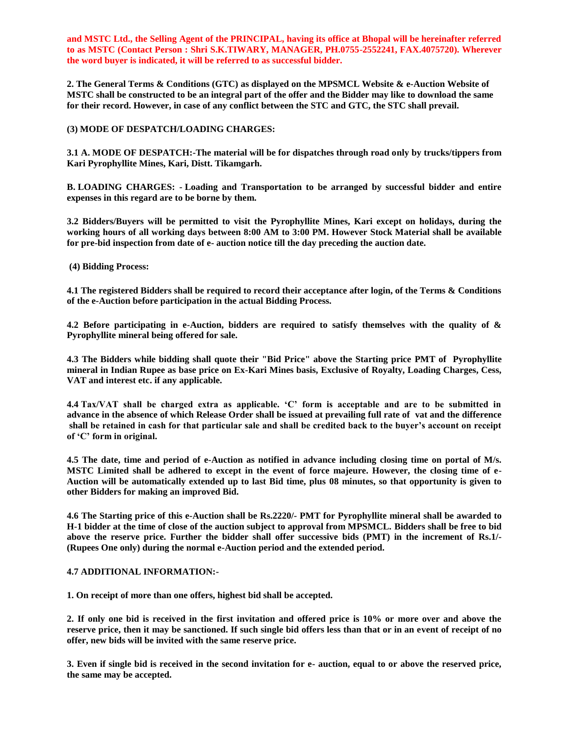**and MSTC Ltd., the Selling Agent of the PRINCIPAL, having its office at Bhopal will be hereinafter referred to as MSTC (Contact Person : Shri S.K.TIWARY, MANAGER, PH.0755-2552241, FAX.4075720). Wherever the word buyer is indicated, it will be referred to as successful bidder.**

**2. The General Terms & Conditions (GTC) as displayed on the MPSMCL Website & e-Auction Website of MSTC shall be constructed to be an integral part of the offer and the Bidder may like to download the same for their record. However, in case of any conflict between the STC and GTC, the STC shall prevail.**

## **(3) MODE OF DESPATCH/LOADING CHARGES:**

**3.1 A. MODE OF DESPATCH:-The material will be for dispatches through road only by trucks/tippers from Kari Pyrophyllite Mines, Kari, Distt. Tikamgarh.**

**B. LOADING CHARGES: - Loading and Transportation to be arranged by successful bidder and entire expenses in this regard are to be borne by them.**

**3.2 Bidders/Buyers will be permitted to visit the Pyrophyllite Mines, Kari except on holidays, during the working hours of all working days between 8:00 AM to 3:00 PM. However Stock Material shall be available for pre-bid inspection from date of e- auction notice till the day preceding the auction date.** 

**(4) Bidding Process:**

**4.1 The registered Bidders shall be required to record their acceptance after login, of the Terms & Conditions of the e-Auction before participation in the actual Bidding Process.**

**4.2 Before participating in e-Auction, bidders are required to satisfy themselves with the quality of & Pyrophyllite mineral being offered for sale.** 

**4.3 The Bidders while bidding shall quote their "Bid Price" above the Starting price PMT of Pyrophyllite mineral in Indian Rupee as base price on Ex-Kari Mines basis, Exclusive of Royalty, Loading Charges, Cess, VAT and interest etc. if any applicable.**

**4.4 Tax/VAT shall be charged extra as applicable. "C" form is acceptable and are to be submitted in advance in the absence of which Release Order shall be issued at prevailing full rate of vat and the difference shall be retained in cash for that particular sale and shall be credited back to the buyer"s account on receipt of "C" form in original.**

**4.5 The date, time and period of e-Auction as notified in advance including closing time on portal of M/s. MSTC Limited shall be adhered to except in the event of force majeure. However, the closing time of e-Auction will be automatically extended up to last Bid time, plus 08 minutes, so that opportunity is given to other Bidders for making an improved Bid.**

**4.6 The Starting price of this e-Auction shall be Rs.2220/- PMT for Pyrophyllite mineral shall be awarded to H-1 bidder at the time of close of the auction subject to approval from MPSMCL. Bidders shall be free to bid above the reserve price. Further the bidder shall offer successive bids (PMT) in the increment of Rs.1/- (Rupees One only) during the normal e-Auction period and the extended period.**

#### **4.7 ADDITIONAL INFORMATION:-**

**1. On receipt of more than one offers, highest bid shall be accepted.**

**2. If only one bid is received in the first invitation and offered price is 10% or more over and above the reserve price, then it may be sanctioned. If such single bid offers less than that or in an event of receipt of no offer, new bids will be invited with the same reserve price.**

**3. Even if single bid is received in the second invitation for e- auction, equal to or above the reserved price, the same may be accepted.**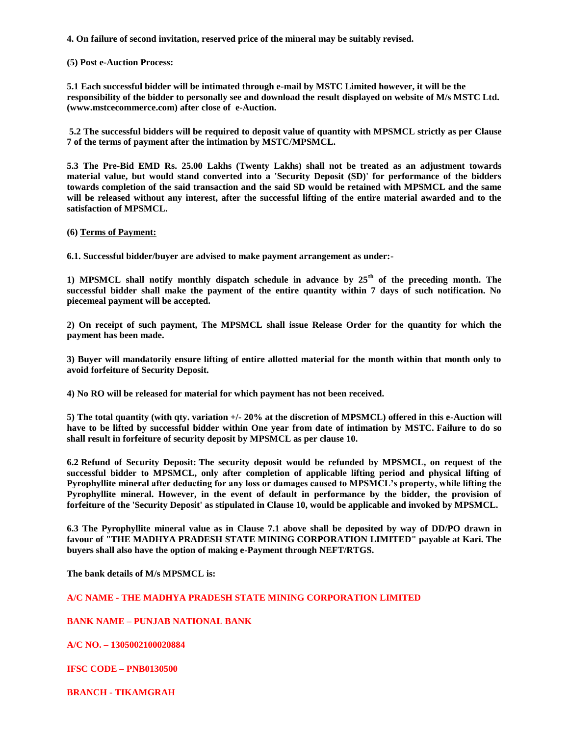**4. On failure of second invitation, reserved price of the mineral may be suitably revised.**

#### **(5) Post e-Auction Process:**

**5.1 Each successful bidder will be intimated through e-mail by MSTC Limited however, it will be the responsibility of the bidder to personally see and download the result displayed on website of M/s MSTC Ltd. (www.mstcecommerce.com) after close of e-Auction.**

**5.2 The successful bidders will be required to deposit value of quantity with MPSMCL strictly as per Clause 7 of the terms of payment after the intimation by MSTC/MPSMCL.**

**5.3 The Pre-Bid EMD Rs. 25.00 Lakhs (Twenty Lakhs) shall not be treated as an adjustment towards material value, but would stand converted into a 'Security Deposit (SD)' for performance of the bidders towards completion of the said transaction and the said SD would be retained with MPSMCL and the same**  will be released without any interest, after the successful lifting of the entire material awarded and to the **satisfaction of MPSMCL.**

#### **(6) Terms of Payment:**

**6.1. Successful bidder/buyer are advised to make payment arrangement as under:-**

**1) MPSMCL shall notify monthly dispatch schedule in advance by 25th of the preceding month. The successful bidder shall make the payment of the entire quantity within 7 days of such notification. No piecemeal payment will be accepted.**

**2) On receipt of such payment, The MPSMCL shall issue Release Order for the quantity for which the payment has been made.**

**3) Buyer will mandatorily ensure lifting of entire allotted material for the month within that month only to avoid forfeiture of Security Deposit.**

**4) No RO will be released for material for which payment has not been received.**

**5) The total quantity (with qty. variation +/- 20% at the discretion of MPSMCL) offered in this e-Auction will have to be lifted by successful bidder within One year from date of intimation by MSTC. Failure to do so shall result in forfeiture of security deposit by MPSMCL as per clause 10.**

**6.2 Refund of Security Deposit: The security deposit would be refunded by MPSMCL, on request of the successful bidder to MPSMCL, only after completion of applicable lifting period and physical lifting of Pyrophyllite mineral after deducting for any loss or damages caused to MPSMCL"s property, while lifting the Pyrophyllite mineral. However, in the event of default in performance by the bidder, the provision of forfeiture of the 'Security Deposit' as stipulated in Clause 10, would be applicable and invoked by MPSMCL.**

**6.3 The Pyrophyllite mineral value as in Clause 7.1 above shall be deposited by way of DD/PO drawn in favour of "THE MADHYA PRADESH STATE MINING CORPORATION LIMITED" payable at Kari. The buyers shall also have the option of making e-Payment through NEFT/RTGS.** 

**The bank details of M/s MPSMCL is:**

# **A/C NAME - THE MADHYA PRADESH STATE MINING CORPORATION LIMITED**

# **BANK NAME – PUNJAB NATIONAL BANK**

**A/C NO. – 1305002100020884**

**IFSC CODE – PNB0130500**

**BRANCH - TIKAMGRAH**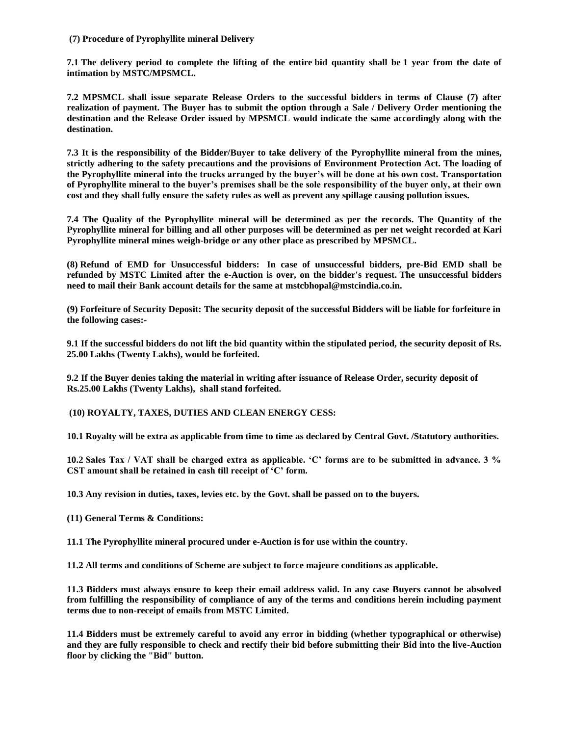## **(7) Procedure of Pyrophyllite mineral Delivery**

**7.1 The delivery period to complete the lifting of the entire bid quantity shall be 1 year from the date of intimation by MSTC/MPSMCL.**

**7.2 MPSMCL shall issue separate Release Orders to the successful bidders in terms of Clause (7) after realization of payment. The Buyer has to submit the option through a Sale / Delivery Order mentioning the destination and the Release Order issued by MPSMCL would indicate the same accordingly along with the destination.**

**7.3 It is the responsibility of the Bidder/Buyer to take delivery of the Pyrophyllite mineral from the mines, strictly adhering to the safety precautions and the provisions of Environment Protection Act. The loading of the Pyrophyllite mineral into the trucks arranged by the buyer"s will be done at his own cost. Transportation of Pyrophyllite mineral to the buyer"s premises shall be the sole responsibility of the buyer only, at their own cost and they shall fully ensure the safety rules as well as prevent any spillage causing pollution issues.**

**7.4 The Quality of the Pyrophyllite mineral will be determined as per the records. The Quantity of the Pyrophyllite mineral for billing and all other purposes will be determined as per net weight recorded at Kari Pyrophyllite mineral mines weigh-bridge or any other place as prescribed by MPSMCL.** 

**(8) Refund of EMD for Unsuccessful bidders: In case of unsuccessful bidders, pre-Bid EMD shall be refunded by MSTC Limited after the e-Auction is over, on the bidder's request. The unsuccessful bidders need to mail their Bank account details for the same at mstcbhopal@mstcindia.co.in.**

**(9) Forfeiture of Security Deposit: The security deposit of the successful Bidders will be liable for forfeiture in the following cases:-**

**9.1 If the successful bidders do not lift the bid quantity within the stipulated period, the security deposit of Rs. 25.00 Lakhs (Twenty Lakhs), would be forfeited.**

**9.2 If the Buyer denies taking the material in writing after issuance of Release Order, security deposit of Rs.25.00 Lakhs (Twenty Lakhs), shall stand forfeited.**

**(10) ROYALTY, TAXES, DUTIES AND CLEAN ENERGY CESS:**

**10.1 Royalty will be extra as applicable from time to time as declared by Central Govt. /Statutory authorities.** 

**10.2 Sales Tax / VAT shall be charged extra as applicable. "C" forms are to be submitted in advance. 3 % CST amount shall be retained in cash till receipt of "C" form.**

**10.3 Any revision in duties, taxes, levies etc. by the Govt. shall be passed on to the buyers.**

**(11) General Terms & Conditions:**

**11.1 The Pyrophyllite mineral procured under e-Auction is for use within the country.**

**11.2 All terms and conditions of Scheme are subject to force majeure conditions as applicable.**

**11.3 Bidders must always ensure to keep their email address valid. In any case Buyers cannot be absolved from fulfilling the responsibility of compliance of any of the terms and conditions herein including payment terms due to non-receipt of emails from MSTC Limited.**

**11.4 Bidders must be extremely careful to avoid any error in bidding (whether typographical or otherwise) and they are fully responsible to check and rectify their bid before submitting their Bid into the live-Auction floor by clicking the "Bid" button.**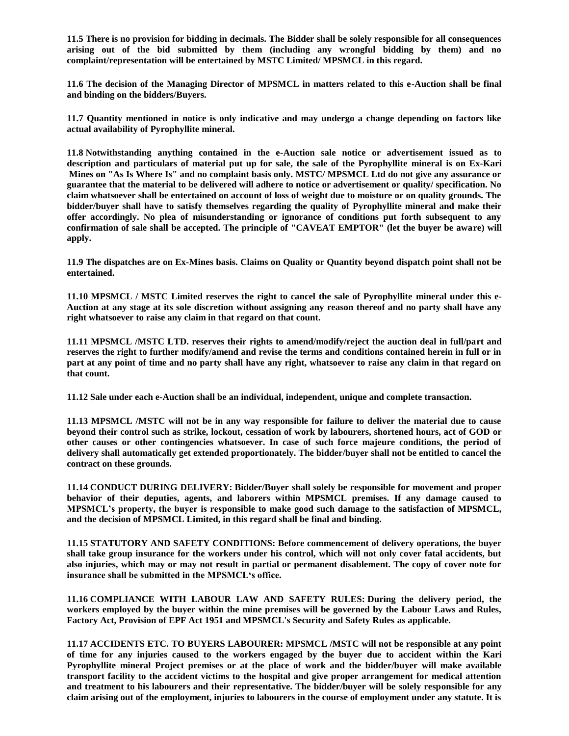**11.5 There is no provision for bidding in decimals. The Bidder shall be solely responsible for all consequences arising out of the bid submitted by them (including any wrongful bidding by them) and no complaint/representation will be entertained by MSTC Limited/ MPSMCL in this regard.**

**11.6 The decision of the Managing Director of MPSMCL in matters related to this e-Auction shall be final and binding on the bidders/Buyers.**

**11.7 Quantity mentioned in notice is only indicative and may undergo a change depending on factors like actual availability of Pyrophyllite mineral.**

**11.8 Notwithstanding anything contained in the e-Auction sale notice or advertisement issued as to description and particulars of material put up for sale, the sale of the Pyrophyllite mineral is on Ex-Kari Mines on "As Is Where Is" and no complaint basis only. MSTC/ MPSMCL Ltd do not give any assurance or guarantee that the material to be delivered will adhere to notice or advertisement or quality/ specification. No claim whatsoever shall be entertained on account of loss of weight due to moisture or on quality grounds. The bidder/buyer shall have to satisfy themselves regarding the quality of Pyrophyllite mineral and make their offer accordingly. No plea of misunderstanding or ignorance of conditions put forth subsequent to any confirmation of sale shall be accepted. The principle of "CAVEAT EMPTOR" (let the buyer be aware) will apply.**

**11.9 The dispatches are on Ex-Mines basis. Claims on Quality or Quantity beyond dispatch point shall not be entertained.**

**11.10 MPSMCL / MSTC Limited reserves the right to cancel the sale of Pyrophyllite mineral under this e-Auction at any stage at its sole discretion without assigning any reason thereof and no party shall have any right whatsoever to raise any claim in that regard on that count.**

**11.11 MPSMCL /MSTC LTD. reserves their rights to amend/modify/reject the auction deal in full/part and reserves the right to further modify/amend and revise the terms and conditions contained herein in full or in part at any point of time and no party shall have any right, whatsoever to raise any claim in that regard on that count.**

**11.12 Sale under each e-Auction shall be an individual, independent, unique and complete transaction.**

**11.13 MPSMCL /MSTC will not be in any way responsible for failure to deliver the material due to cause beyond their control such as strike, lockout, cessation of work by labourers, shortened hours, act of GOD or other causes or other contingencies whatsoever. In case of such force majeure conditions, the period of delivery shall automatically get extended proportionately. The bidder/buyer shall not be entitled to cancel the contract on these grounds.**

**11.14 CONDUCT DURING DELIVERY: Bidder/Buyer shall solely be responsible for movement and proper behavior of their deputies, agents, and laborers within MPSMCL premises. If any damage caused to MPSMCL"s property, the buyer is responsible to make good such damage to the satisfaction of MPSMCL, and the decision of MPSMCL Limited, in this regard shall be final and binding.** 

**11.15 STATUTORY AND SAFETY CONDITIONS: Before commencement of delivery operations, the buyer shall take group insurance for the workers under his control, which will not only cover fatal accidents, but also injuries, which may or may not result in partial or permanent disablement. The copy of cover note for insurance shall be submitted in the MPSMCL"s office.**

**11.16 COMPLIANCE WITH LABOUR LAW AND SAFETY RULES: During the delivery period, the workers employed by the buyer within the mine premises will be governed by the Labour Laws and Rules, Factory Act, Provision of EPF Act 1951 and MPSMCL's Security and Safety Rules as applicable.**

**11.17 ACCIDENTS ETC. TO BUYERS LABOURER: MPSMCL /MSTC will not be responsible at any point of time for any injuries caused to the workers engaged by the buyer due to accident within the Kari Pyrophyllite mineral Project premises or at the place of work and the bidder/buyer will make available transport facility to the accident victims to the hospital and give proper arrangement for medical attention and treatment to his labourers and their representative. The bidder/buyer will be solely responsible for any claim arising out of the employment, injuries to labourers in the course of employment under any statute. It is**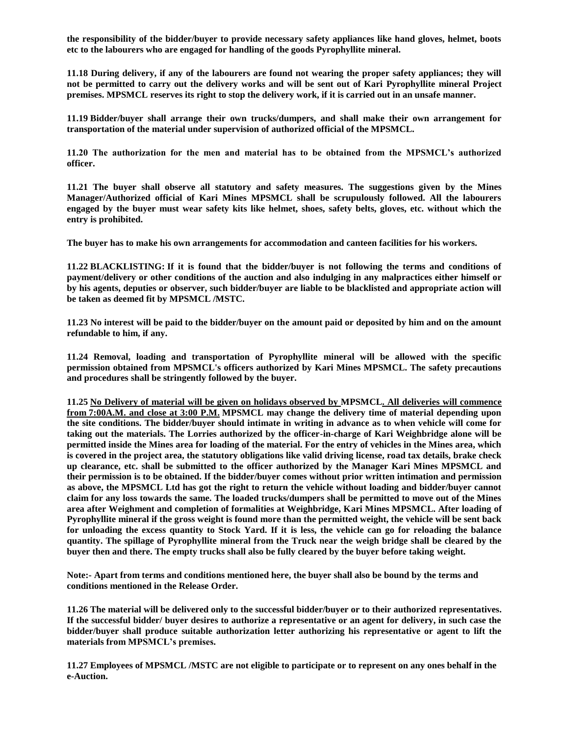**the responsibility of the bidder/buyer to provide necessary safety appliances like hand gloves, helmet, boots etc to the labourers who are engaged for handling of the goods Pyrophyllite mineral.**

**11.18 During delivery, if any of the labourers are found not wearing the proper safety appliances; they will not be permitted to carry out the delivery works and will be sent out of Kari Pyrophyllite mineral Project premises. MPSMCL reserves its right to stop the delivery work, if it is carried out in an unsafe manner.**

**11.19 Bidder/buyer shall arrange their own trucks/dumpers, and shall make their own arrangement for transportation of the material under supervision of authorized official of the MPSMCL.**

**11.20 The authorization for the men and material has to be obtained from the MPSMCL"s authorized officer.**

**11.21 The buyer shall observe all statutory and safety measures. The suggestions given by the Mines Manager/Authorized official of Kari Mines MPSMCL shall be scrupulously followed. All the labourers engaged by the buyer must wear safety kits like helmet, shoes, safety belts, gloves, etc. without which the entry is prohibited.** 

**The buyer has to make his own arrangements for accommodation and canteen facilities for his workers.**

**11.22 BLACKLISTING: If it is found that the bidder/buyer is not following the terms and conditions of payment/delivery or other conditions of the auction and also indulging in any malpractices either himself or by his agents, deputies or observer, such bidder/buyer are liable to be blacklisted and appropriate action will be taken as deemed fit by MPSMCL /MSTC.**

**11.23 No interest will be paid to the bidder/buyer on the amount paid or deposited by him and on the amount refundable to him, if any.**

**11.24 Removal, loading and transportation of Pyrophyllite mineral will be allowed with the specific permission obtained from MPSMCL's officers authorized by Kari Mines MPSMCL. The safety precautions and procedures shall be stringently followed by the buyer.** 

**11.25 No Delivery of material will be given on holidays observed by MPSMCL. All deliveries will commence from 7:00A.M. and close at 3:00 P.M. MPSMCL may change the delivery time of material depending upon the site conditions. The bidder/buyer should intimate in writing in advance as to when vehicle will come for taking out the materials. The Lorries authorized by the officer-in-charge of Kari Weighbridge alone will be permitted inside the Mines area for loading of the material. For the entry of vehicles in the Mines area, which is covered in the project area, the statutory obligations like valid driving license, road tax details, brake check up clearance, etc. shall be submitted to the officer authorized by the Manager Kari Mines MPSMCL and their permission is to be obtained. If the bidder/buyer comes without prior written intimation and permission as above, the MPSMCL Ltd has got the right to return the vehicle without loading and bidder/buyer cannot claim for any loss towards the same. The loaded trucks/dumpers shall be permitted to move out of the Mines area after Weighment and completion of formalities at Weighbridge, Kari Mines MPSMCL. After loading of Pyrophyllite mineral if the gross weight is found more than the permitted weight, the vehicle will be sent back for unloading the excess quantity to Stock Yard. If it is less, the vehicle can go for reloading the balance quantity. The spillage of Pyrophyllite mineral from the Truck near the weigh bridge shall be cleared by the buyer then and there. The empty trucks shall also be fully cleared by the buyer before taking weight.** 

**Note:- Apart from terms and conditions mentioned here, the buyer shall also be bound by the terms and conditions mentioned in the Release Order.**

**11.26 The material will be delivered only to the successful bidder/buyer or to their authorized representatives. If the successful bidder/ buyer desires to authorize a representative or an agent for delivery, in such case the bidder/buyer shall produce suitable authorization letter authorizing his representative or agent to lift the materials from MPSMCL"s premises.**

**11.27 Employees of MPSMCL /MSTC are not eligible to participate or to represent on any ones behalf in the e-Auction.**